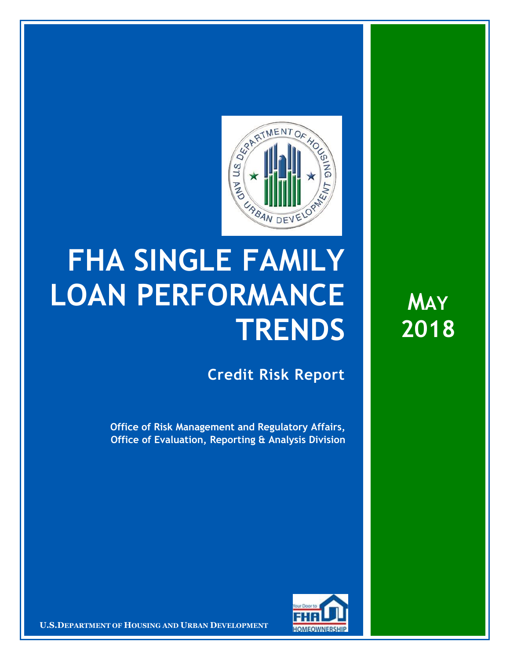

## **FHA SINGLE FAMILY LOAN PERFORMANCE TRENDS**

**Credit Risk Report**

**Office of Risk Management and Regulatory Affairs, Office of Evaluation, Reporting & Analysis Division**



**U.S.DEPARTMENT OF HOUSING AND URBAN DEVELOPMENT** 

**MAY 2018**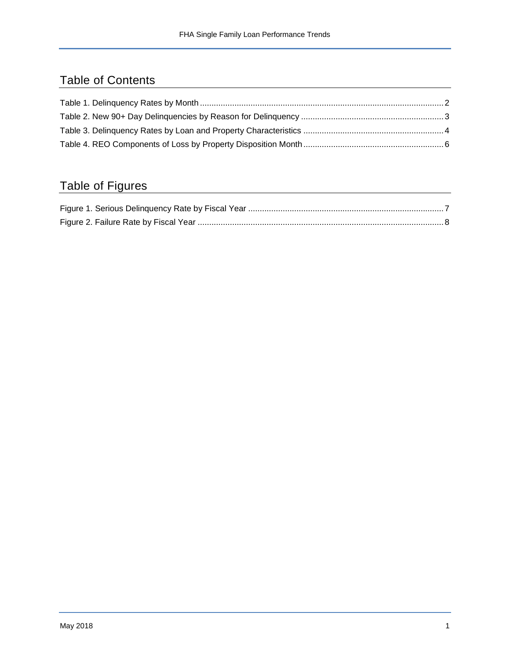## Table of Contents

## Table of Figures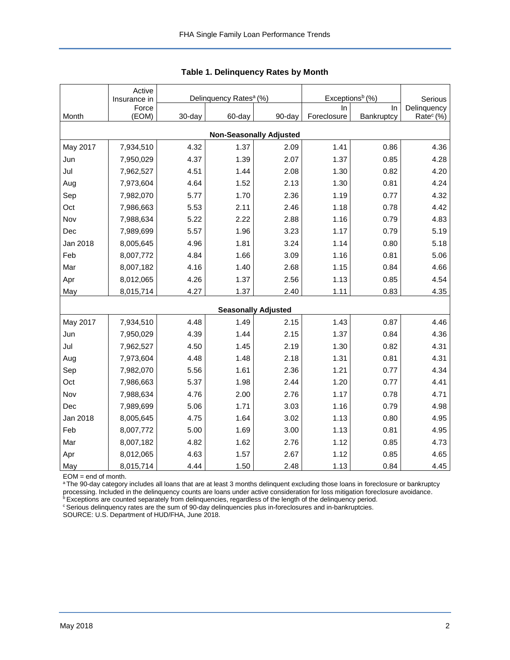<span id="page-2-0"></span>

|          | Active<br>Insurance in |        | Delinquency Rates <sup>a</sup> (%) |                                | Exceptions <sup>b</sup> (%) | Serious    |                       |
|----------|------------------------|--------|------------------------------------|--------------------------------|-----------------------------|------------|-----------------------|
|          | Force                  |        |                                    |                                | In.                         | In.        | Delinquency           |
| Month    | (EOM)                  | 30-day | 60-day                             | 90-day                         | Foreclosure                 | Bankruptcy | Rate <sup>c</sup> (%) |
|          |                        |        |                                    | <b>Non-Seasonally Adjusted</b> |                             |            |                       |
| May 2017 | 7,934,510              | 4.32   | 1.37                               | 2.09                           | 1.41                        | 0.86       | 4.36                  |
| Jun      | 7,950,029              | 4.37   | 1.39                               | 2.07                           | 1.37                        | 0.85       | 4.28                  |
| Jul      | 7,962,527              | 4.51   | 1.44                               | 2.08                           | 1.30                        | 0.82       | 4.20                  |
| Aug      | 7,973,604              | 4.64   | 1.52                               | 2.13                           | 1.30                        | 0.81       | 4.24                  |
| Sep      | 7,982,070              | 5.77   | 1.70                               | 2.36                           | 1.19                        | 0.77       | 4.32                  |
| Oct      | 7,986,663              | 5.53   | 2.11                               | 2.46                           | 1.18                        | 0.78       | 4.42                  |
| Nov      | 7,988,634              | 5.22   | 2.22                               | 2.88                           | 1.16                        | 0.79       | 4.83                  |
| Dec      | 7,989,699              | 5.57   | 1.96                               | 3.23                           | 1.17                        | 0.79       | 5.19                  |
| Jan 2018 | 8,005,645              | 4.96   | 1.81                               | 3.24                           | 1.14                        | 0.80       | 5.18                  |
| Feb      | 8,007,772              | 4.84   | 1.66                               | 3.09                           | 1.16                        | 0.81       | 5.06                  |
| Mar      | 8,007,182              | 4.16   | 1.40                               | 2.68                           | 1.15                        | 0.84       | 4.66                  |
| Apr      | 8,012,065              | 4.26   | 1.37                               | 2.56                           | 1.13                        | 0.85       | 4.54                  |
| May      | 8,015,714              | 4.27   | 1.37                               | 2.40                           | 1.11                        | 0.83       | 4.35                  |
|          |                        |        |                                    | <b>Seasonally Adjusted</b>     |                             |            |                       |
| May 2017 | 7,934,510              | 4.48   | 1.49                               | 2.15                           | 1.43                        | 0.87       | 4.46                  |
| Jun      | 7,950,029              | 4.39   | 1.44                               | 2.15                           | 1.37                        | 0.84       | 4.36                  |
| Jul      | 7,962,527              | 4.50   | 1.45                               | 2.19                           | 1.30                        | 0.82       | 4.31                  |
| Aug      | 7,973,604              | 4.48   | 1.48                               | 2.18                           | 1.31                        | 0.81       | 4.31                  |
| Sep      | 7,982,070              | 5.56   | 1.61                               | 2.36                           | 1.21                        | 0.77       | 4.34                  |
| Oct      | 7,986,663              | 5.37   | 1.98                               | 2.44                           | 1.20                        | 0.77       | 4.41                  |
| Nov      | 7,988,634              | 4.76   | 2.00                               | 2.76                           | 1.17                        | 0.78       | 4.71                  |
| Dec      | 7,989,699              | 5.06   | 1.71                               | 3.03                           | 1.16                        | 0.79       | 4.98                  |
| Jan 2018 | 8,005,645              | 4.75   | 1.64                               | 3.02                           | 1.13                        | 0.80       | 4.95                  |
| Feb      | 8,007,772              | 5.00   | 1.69                               | 3.00                           | 1.13                        | 0.81       | 4.95                  |
| Mar      | 8,007,182              | 4.82   | 1.62                               | 2.76                           | 1.12                        | 0.85       | 4.73                  |
| Apr      | 8,012,065              | 4.63   | 1.57                               | 2.67                           | 1.12                        | 0.85       | 4.65                  |
| May      | 8,015,714              | 4.44   | 1.50                               | 2.48                           | 1.13                        | 0.84       | 4.45                  |

|  | Table 1. Delinquency Rates by Month |  |  |
|--|-------------------------------------|--|--|
|--|-------------------------------------|--|--|

EOM = end of month.

<sup>a</sup>The 90-day category includes all loans that are at least 3 months delinquent excluding those loans in foreclosure or bankruptcy processing. Included in the delinquency counts are loans under active consideration for loss mitigation foreclosure avoidance.

**bExceptions are counted separately from delinquencies, regardless of the length of the delinquency period.** 

<sup>c</sup> Serious delinquency rates are the sum of 90-day delinquencies plus in-foreclosures and in-bankruptcies.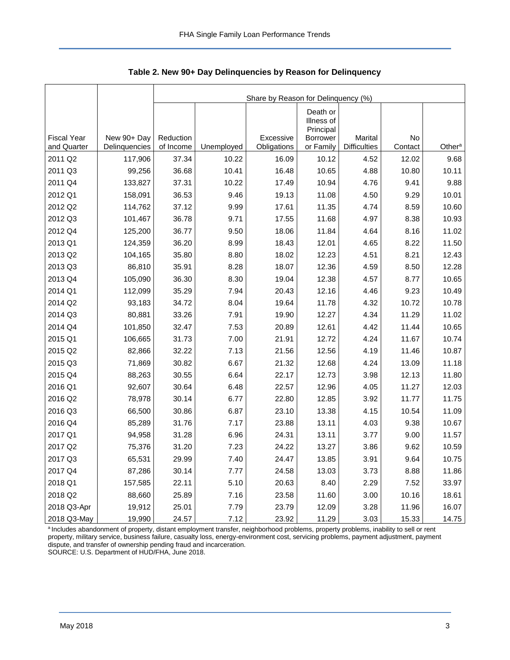<span id="page-3-0"></span>

|                    |               | Share by Reason for Delinquency (%) |            |             |                                                        |                     |         |                    |  |  |  |
|--------------------|---------------|-------------------------------------|------------|-------------|--------------------------------------------------------|---------------------|---------|--------------------|--|--|--|
| <b>Fiscal Year</b> | New 90+ Day   | Reduction                           |            | Excessive   | Death or<br>Illness of<br>Principal<br><b>Borrower</b> | Marital             | No      |                    |  |  |  |
| and Quarter        | Delinquencies | of Income                           | Unemployed | Obligations | or Family                                              | <b>Difficulties</b> | Contact | Other <sup>a</sup> |  |  |  |
| 2011 Q2            | 117,906       | 37.34                               | 10.22      | 16.09       | 10.12                                                  | 4.52                | 12.02   | 9.68               |  |  |  |
| 2011 Q3            | 99,256        | 36.68                               | 10.41      | 16.48       | 10.65                                                  | 4.88                | 10.80   | 10.11              |  |  |  |
| 2011 Q4            | 133,827       | 37.31                               | 10.22      | 17.49       | 10.94                                                  | 4.76                | 9.41    | 9.88               |  |  |  |
| 2012 Q1            | 158,091       | 36.53                               | 9.46       | 19.13       | 11.08                                                  | 4.50                | 9.29    | 10.01              |  |  |  |
| 2012 Q2            | 114,762       | 37.12                               | 9.99       | 17.61       | 11.35                                                  | 4.74                | 8.59    | 10.60              |  |  |  |
| 2012 Q3            | 101,467       | 36.78                               | 9.71       | 17.55       | 11.68                                                  | 4.97                | 8.38    | 10.93              |  |  |  |
| 2012 Q4            | 125,200       | 36.77                               | 9.50       | 18.06       | 11.84                                                  | 4.64                | 8.16    | 11.02              |  |  |  |
| 2013 Q1            | 124,359       | 36.20                               | 8.99       | 18.43       | 12.01                                                  | 4.65                | 8.22    | 11.50              |  |  |  |
| 2013 Q2            | 104,165       | 35.80                               | 8.80       | 18.02       | 12.23                                                  | 4.51                | 8.21    | 12.43              |  |  |  |
| 2013 Q3            | 86,810        | 35.91                               | 8.28       | 18.07       | 12.36                                                  | 4.59                | 8.50    | 12.28              |  |  |  |
| 2013 Q4            | 105,090       | 36.30                               | 8.30       | 19.04       | 12.38                                                  | 4.57                | 8.77    | 10.65              |  |  |  |
| 2014 Q1            | 112,099       | 35.29                               | 7.94       | 20.43       | 12.16                                                  | 4.46                | 9.23    | 10.49              |  |  |  |
| 2014 Q2            | 93,183        | 34.72                               | 8.04       | 19.64       | 11.78                                                  | 4.32                | 10.72   | 10.78              |  |  |  |
| 2014 Q3            | 80,881        | 33.26                               | 7.91       | 19.90       | 12.27                                                  | 4.34                | 11.29   | 11.02              |  |  |  |
| 2014 Q4            | 101,850       | 32.47                               | 7.53       | 20.89       | 12.61                                                  | 4.42                | 11.44   | 10.65              |  |  |  |
| 2015 Q1            | 106,665       | 31.73                               | 7.00       | 21.91       | 12.72                                                  | 4.24                | 11.67   | 10.74              |  |  |  |
| 2015 Q2            | 82,866        | 32.22                               | 7.13       | 21.56       | 12.56                                                  | 4.19                | 11.46   | 10.87              |  |  |  |
| 2015 Q3            | 71,869        | 30.82                               | 6.67       | 21.32       | 12.68                                                  | 4.24                | 13.09   | 11.18              |  |  |  |
| 2015 Q4            | 88,263        | 30.55                               | 6.64       | 22.17       | 12.73                                                  | 3.98                | 12.13   | 11.80              |  |  |  |
| 2016 Q1            | 92,607        | 30.64                               | 6.48       | 22.57       | 12.96                                                  | 4.05                | 11.27   | 12.03              |  |  |  |
| 2016 Q2            | 78,978        | 30.14                               | 6.77       | 22.80       | 12.85                                                  | 3.92                | 11.77   | 11.75              |  |  |  |
| 2016 Q3            | 66,500        | 30.86                               | 6.87       | 23.10       | 13.38                                                  | 4.15                | 10.54   | 11.09              |  |  |  |
| 2016 Q4            | 85,289        | 31.76                               | 7.17       | 23.88       | 13.11                                                  | 4.03                | 9.38    | 10.67              |  |  |  |
| 2017 Q1            | 94,958        | 31.28                               | 6.96       | 24.31       | 13.11                                                  | 3.77                | 9.00    | 11.57              |  |  |  |
| 2017 Q2            | 75,376        | 31.20                               | 7.23       | 24.22       | 13.27                                                  | 3.86                | 9.62    | 10.59              |  |  |  |
| 2017 Q3            | 65,531        | 29.99                               | 7.40       | 24.47       | 13.85                                                  | 3.91                | 9.64    | 10.75              |  |  |  |
| 2017 Q4            | 87,286        | 30.14                               | 7.77       | 24.58       | 13.03                                                  | 3.73                | 8.88    | 11.86              |  |  |  |
| 2018 Q1            | 157,585       | 22.11                               | 5.10       | 20.63       | 8.40                                                   | 2.29                | 7.52    | 33.97              |  |  |  |
| 2018 Q2            | 88,660        | 25.89                               | 7.16       | 23.58       | 11.60                                                  | 3.00                | 10.16   | 18.61              |  |  |  |
| 2018 Q3-Apr        | 19,912        | 25.01                               | 7.79       | 23.79       | 12.09                                                  | 3.28                | 11.96   | 16.07              |  |  |  |
| 2018 Q3-May        | 19,990        | 24.57                               | 7.12       | 23.92       | 11.29                                                  | 3.03                | 15.33   | 14.75              |  |  |  |

**Table 2. New 90+ Day Delinquencies by Reason for Delinquency**

a Includes abandonment of property, distant employment transfer, neighborhood problems, property problems, inability to sell or rent property, military service, business failure, casualty loss, energy-environment cost, servicing problems, payment adjustment, payment dispute, and transfer of ownership pending fraud and incarceration. SOURCE: U.S. Department of HUD/FHA, June 2018.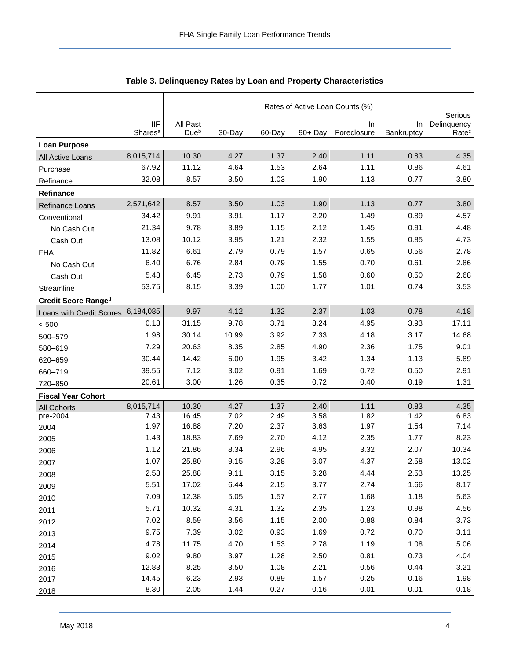<span id="page-4-0"></span>

|                           |                                   | Rates of Active Loan Counts (%) |              |              |              |                   |                  |                                  |  |  |
|---------------------------|-----------------------------------|---------------------------------|--------------|--------------|--------------|-------------------|------------------|----------------------------------|--|--|
|                           |                                   |                                 |              |              |              |                   |                  | Serious                          |  |  |
|                           | <b>IIF</b><br>Shares <sup>a</sup> | All Past<br>Due <sup>b</sup>    | 30-Day       | 60-Day       | 90+ Day      | In<br>Foreclosure | In<br>Bankruptcy | Delinquency<br>Rate <sup>c</sup> |  |  |
| <b>Loan Purpose</b>       |                                   |                                 |              |              |              |                   |                  |                                  |  |  |
| All Active Loans          | 8,015,714                         | 10.30                           | 4.27         | 1.37         | 2.40         | 1.11              | 0.83             | 4.35                             |  |  |
| Purchase                  | 67.92                             | 11.12                           | 4.64         | 1.53         | 2.64         | 1.11              | 0.86             | 4.61                             |  |  |
| Refinance                 | 32.08                             | 8.57                            | 3.50         | 1.03         | 1.90         | 1.13              | 0.77             | 3.80                             |  |  |
| Refinance                 |                                   |                                 |              |              |              |                   |                  |                                  |  |  |
| Refinance Loans           | 2,571,642                         | 8.57                            | 3.50         | 1.03         | 1.90         | 1.13              | 0.77             | 3.80                             |  |  |
| Conventional              | 34.42                             | 9.91                            | 3.91         | 1.17         | 2.20         | 1.49              | 0.89             | 4.57                             |  |  |
| No Cash Out               | 21.34                             | 9.78                            | 3.89         | 1.15         | 2.12         | 1.45              | 0.91             | 4.48                             |  |  |
| Cash Out                  | 13.08                             | 10.12                           | 3.95         | 1.21         | 2.32         | 1.55              | 0.85             | 4.73                             |  |  |
| <b>FHA</b>                | 11.82                             | 6.61                            | 2.79         | 0.79         | 1.57         | 0.65              | 0.56             | 2.78                             |  |  |
| No Cash Out               | 6.40                              | 6.76                            | 2.84         | 0.79         | 1.55         | 0.70              | 0.61             | 2.86                             |  |  |
| Cash Out                  | 5.43                              | 6.45                            | 2.73         | 0.79         | 1.58         | 0.60              | 0.50             | 2.68                             |  |  |
| Streamline                | 53.75                             | 8.15                            | 3.39         | 1.00         | 1.77         | 1.01              | 0.74             | 3.53                             |  |  |
| Credit Score Ranged       |                                   |                                 |              |              |              |                   |                  |                                  |  |  |
| Loans with Credit Scores  | 6,184,085                         | 9.97                            | 4.12         | 1.32         | 2.37         | 1.03              | 0.78             | 4.18                             |  |  |
| < 500                     | 0.13                              | 31.15                           | 9.78         | 3.71         | 8.24         | 4.95              | 3.93             | 17.11                            |  |  |
| 500-579                   | 1.98                              | 30.14                           | 10.99        | 3.92         | 7.33         | 4.18              | 3.17             | 14.68                            |  |  |
| 580-619                   | 7.29                              | 20.63                           | 8.35         | 2.85         | 4.90         | 2.36              | 1.75             | 9.01                             |  |  |
| 620-659                   | 30.44                             | 14.42                           | 6.00         | 1.95         | 3.42         | 1.34              | 1.13             | 5.89                             |  |  |
| 660-719                   | 39.55                             | 7.12                            | 3.02         | 0.91         | 1.69         | 0.72              | 0.50             | 2.91                             |  |  |
| 720-850                   | 20.61                             | 3.00                            | 1.26         | 0.35         | 0.72         | 0.40              | 0.19             | 1.31                             |  |  |
| <b>Fiscal Year Cohort</b> |                                   |                                 |              |              |              |                   |                  |                                  |  |  |
| <b>All Cohorts</b>        | 8,015,714                         | 10.30                           | 4.27         | 1.37         | 2.40         | 1.11              | 0.83             | 4.35                             |  |  |
| pre-2004                  | 7.43<br>1.97                      | 16.45<br>16.88                  | 7.02<br>7.20 | 2.49<br>2.37 | 3.58<br>3.63 | 1.82<br>1.97      | 1.42<br>1.54     | 6.83<br>7.14                     |  |  |
| 2004                      | 1.43                              | 18.83                           | 7.69         | 2.70         | 4.12         | 2.35              | 1.77             | 8.23                             |  |  |
| 2005<br>2006              | 1.12                              | 21.86                           | 8.34         | 2.96         | 4.95         | 3.32              | 2.07             | 10.34                            |  |  |
| 2007                      | 1.07                              | 25.80                           | 9.15         | 3.28         | 6.07         | 4.37              | 2.58             | 13.02                            |  |  |
| 2008                      | 2.53                              | 25.88                           | 9.11         | 3.15         | 6.28         | 4.44              | 2.53             | 13.25                            |  |  |
| 2009                      | 5.51                              | 17.02                           | 6.44         | 2.15         | 3.77         | 2.74              | 1.66             | 8.17                             |  |  |
| 2010                      | 7.09                              | 12.38                           | 5.05         | 1.57         | 2.77         | 1.68              | 1.18             | 5.63                             |  |  |
| 2011                      | 5.71                              | 10.32                           | 4.31         | 1.32         | 2.35         | 1.23              | 0.98             | 4.56                             |  |  |
| 2012                      | 7.02                              | 8.59                            | 3.56         | 1.15         | 2.00         | 0.88              | 0.84             | 3.73                             |  |  |
| 2013                      | 9.75                              | 7.39                            | 3.02         | 0.93         | 1.69         | 0.72              | 0.70             | 3.11                             |  |  |
| 2014                      | 4.78                              | 11.75                           | 4.70         | 1.53         | 2.78         | 1.19              | 1.08             | 5.06                             |  |  |
| 2015                      | 9.02                              | 9.80                            | 3.97         | 1.28         | 2.50         | 0.81              | 0.73             | 4.04                             |  |  |
| 2016                      | 12.83                             | 8.25                            | 3.50         | 1.08         | 2.21         | 0.56              | 0.44             | 3.21                             |  |  |
| 2017                      | 14.45                             | 6.23                            | 2.93         | 0.89         | 1.57         | 0.25              | 0.16             | 1.98                             |  |  |
| 2018                      | 8.30                              | 2.05                            | 1.44         | 0.27         | 0.16         | 0.01              | 0.01             | 0.18                             |  |  |

**Table 3. Delinquency Rates by Loan and Property Characteristics**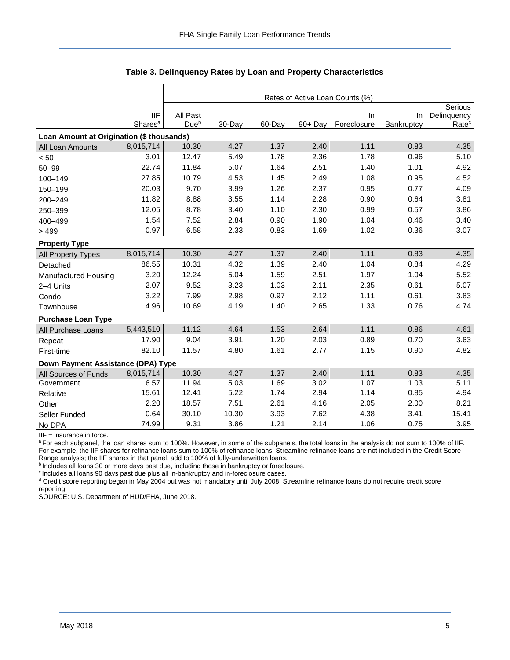|                                           |                     | Rates of Active Loan Counts (%) |        |        |            |             |            |                   |  |  |  |
|-------------------------------------------|---------------------|---------------------------------|--------|--------|------------|-------------|------------|-------------------|--|--|--|
|                                           |                     |                                 |        |        |            |             |            | Serious           |  |  |  |
|                                           | <b>IIF</b>          | All Past                        |        |        |            | In          | In         | Delinquency       |  |  |  |
|                                           | Shares <sup>a</sup> | Due <sup>b</sup>                | 30-Day | 60-Day | $90 + Day$ | Foreclosure | Bankruptcy | Rate <sup>c</sup> |  |  |  |
| Loan Amount at Origination (\$ thousands) |                     |                                 |        |        |            |             |            |                   |  |  |  |
| All Loan Amounts                          | 8,015,714           | 10.30                           | 4.27   | 1.37   | 2.40       | 1.11        | 0.83       | 4.35              |  |  |  |
| < 50                                      | 3.01                | 12.47                           | 5.49   | 1.78   | 2.36       | 1.78        | 0.96       | 5.10              |  |  |  |
| $50 - 99$                                 | 22.74               | 11.84                           | 5.07   | 1.64   | 2.51       | 1.40        | 1.01       | 4.92              |  |  |  |
| 100-149                                   | 27.85               | 10.79                           | 4.53   | 1.45   | 2.49       | 1.08        | 0.95       | 4.52              |  |  |  |
| 150-199                                   | 20.03               | 9.70                            | 3.99   | 1.26   | 2.37       | 0.95        | 0.77       | 4.09              |  |  |  |
| 200-249                                   | 11.82               | 8.88                            | 3.55   | 1.14   | 2.28       | 0.90        | 0.64       | 3.81              |  |  |  |
| 250-399                                   | 12.05               | 8.78                            | 3.40   | 1.10   | 2.30       | 0.99        | 0.57       | 3.86              |  |  |  |
| 400-499                                   | 1.54                | 7.52                            | 2.84   | 0.90   | 1.90       | 1.04        | 0.46       | 3.40              |  |  |  |
| >499                                      | 0.97                | 6.58                            | 2.33   | 0.83   | 1.69       | 1.02        | 0.36       | 3.07              |  |  |  |
| <b>Property Type</b>                      |                     |                                 |        |        |            |             |            |                   |  |  |  |
| All Property Types                        | 8,015,714           | 10.30                           | 4.27   | 1.37   | 2.40       | 1.11        | 0.83       | 4.35              |  |  |  |
| Detached                                  | 86.55               | 10.31                           | 4.32   | 1.39   | 2.40       | 1.04        | 0.84       | 4.29              |  |  |  |
| Manufactured Housing                      | 3.20                | 12.24                           | 5.04   | 1.59   | 2.51       | 1.97        | 1.04       | 5.52              |  |  |  |
| 2-4 Units                                 | 2.07                | 9.52                            | 3.23   | 1.03   | 2.11       | 2.35        | 0.61       | 5.07              |  |  |  |
| Condo                                     | 3.22                | 7.99                            | 2.98   | 0.97   | 2.12       | 1.11        | 0.61       | 3.83              |  |  |  |
| Townhouse                                 | 4.96                | 10.69                           | 4.19   | 1.40   | 2.65       | 1.33        | 0.76       | 4.74              |  |  |  |
| <b>Purchase Loan Type</b>                 |                     |                                 |        |        |            |             |            |                   |  |  |  |
| All Purchase Loans                        | 5,443,510           | 11.12                           | 4.64   | 1.53   | 2.64       | 1.11        | 0.86       | 4.61              |  |  |  |
| Repeat                                    | 17.90               | 9.04                            | 3.91   | 1.20   | 2.03       | 0.89        | 0.70       | 3.63              |  |  |  |
| First-time                                | 82.10               | 11.57                           | 4.80   | 1.61   | 2.77       | 1.15        | 0.90       | 4.82              |  |  |  |
| Down Payment Assistance (DPA) Type        |                     |                                 |        |        |            |             |            |                   |  |  |  |
| All Sources of Funds                      | 8,015,714           | 10.30                           | 4.27   | 1.37   | 2.40       | 1.11        | 0.83       | 4.35              |  |  |  |
| Government                                | 6.57                | 11.94                           | 5.03   | 1.69   | 3.02       | 1.07        | 1.03       | 5.11              |  |  |  |
| Relative                                  | 15.61               | 12.41                           | 5.22   | 1.74   | 2.94       | 1.14        | 0.85       | 4.94              |  |  |  |
| Other                                     | 2.20                | 18.57                           | 7.51   | 2.61   | 4.16       | 2.05        | 2.00       | 8.21              |  |  |  |
| Seller Funded                             | 0.64                | 30.10                           | 10.30  | 3.93   | 7.62       | 4.38        | 3.41       | 15.41             |  |  |  |
| No DPA                                    | 74.99               | 9.31                            | 3.86   | 1.21   | 2.14       | 1.06        | 0.75       | 3.95              |  |  |  |

**Table 3. Delinquency Rates by Loan and Property Characteristics**

IIF = insurance in force.

a For each subpanel, the loan shares sum to 100%. However, in some of the subpanels, the total loans in the analysis do not sum to 100% of IIF. For example, the IIF shares for refinance loans sum to 100% of refinance loans. Streamline refinance loans are not included in the Credit Score Range analysis; the IIF shares in that panel, add to 100% of fully-underwritten loans.

b Includes all loans 30 or more days past due, including those in bankruptcy or foreclosure.

<sup>c</sup> Includes all loans 90 days past due plus all in-bankruptcy and in-foreclosure cases.

<sup>d</sup> Credit score reporting began in May 2004 but was not mandatory until July 2008. Streamline refinance loans do not require credit score reporting.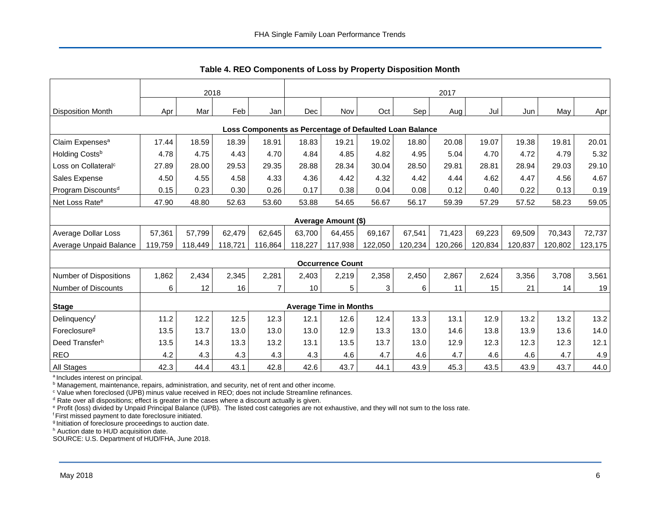<span id="page-6-0"></span>

|                                 | 2018    |         |         |         | 2017            |                               |         |                                                         |         |         |         |         |         |
|---------------------------------|---------|---------|---------|---------|-----------------|-------------------------------|---------|---------------------------------------------------------|---------|---------|---------|---------|---------|
| <b>Disposition Month</b>        | Apr     | Mar     | Feb     | Jan     | Dec             | Nov                           | Oct     | Sep                                                     | Aug     | Jul     | Jun     | May     | Apr     |
|                                 |         |         |         |         |                 |                               |         |                                                         |         |         |         |         |         |
|                                 |         |         |         |         |                 |                               |         | Loss Components as Percentage of Defaulted Loan Balance |         |         |         |         |         |
| Claim Expenses <sup>a</sup>     | 17.44   | 18.59   | 18.39   | 18.91   | 18.83           | 19.21                         | 19.02   | 18.80                                                   | 20.08   | 19.07   | 19.38   | 19.81   | 20.01   |
| Holding Costsb                  | 4.78    | 4.75    | 4.43    | 4.70    | 4.84            | 4.85                          | 4.82    | 4.95                                                    | 5.04    | 4.70    | 4.72    | 4.79    | 5.32    |
| Loss on Collateral <sup>c</sup> | 27.89   | 28.00   | 29.53   | 29.35   | 28.88           | 28.34                         | 30.04   | 28.50                                                   | 29.81   | 28.81   | 28.94   | 29.03   | 29.10   |
| Sales Expense                   | 4.50    | 4.55    | 4.58    | 4.33    | 4.36            | 4.42                          | 4.32    | 4.42                                                    | 4.44    | 4.62    | 4.47    | 4.56    | 4.67    |
| Program Discounts <sup>d</sup>  | 0.15    | 0.23    | 0.30    | 0.26    | 0.17            | 0.38                          | 0.04    | 0.08                                                    | 0.12    | 0.40    | 0.22    | 0.13    | 0.19    |
| Net Loss Rate <sup>e</sup>      | 47.90   | 48.80   | 52.63   | 53.60   | 53.88           | 54.65                         | 56.67   | 56.17                                                   | 59.39   | 57.29   | 57.52   | 58.23   | 59.05   |
|                                 |         |         |         |         |                 | Average Amount (\$)           |         |                                                         |         |         |         |         |         |
| Average Dollar Loss             | 57,361  | 57,799  | 62,479  | 62,645  | 63,700          | 64,455                        | 69,167  | 67,541                                                  | 71,423  | 69,223  | 69,509  | 70,343  | 72,737  |
| Average Unpaid Balance          | 119,759 | 118,449 | 118,721 | 116,864 | 118,227         | 117,938                       | 122,050 | 120,234                                                 | 120,266 | 120,834 | 120,837 | 120,802 | 123,175 |
|                                 |         |         |         |         |                 | <b>Occurrence Count</b>       |         |                                                         |         |         |         |         |         |
| <b>Number of Dispositions</b>   | 1,862   | 2,434   | 2,345   | 2,281   | 2,403           | 2,219                         | 2,358   | 2,450                                                   | 2,867   | 2,624   | 3,356   | 3,708   | 3,561   |
| Number of Discounts             | 6       | 12      | 16      | 7       | 10 <sup>1</sup> | 5                             | 3       | 6                                                       | 11      | 15      | 21      | 14      | 19      |
|                                 |         |         |         |         |                 | <b>Average Time in Months</b> |         |                                                         |         |         |         |         |         |
| <b>Stage</b>                    |         |         |         |         |                 |                               |         |                                                         |         |         |         |         |         |
| Delinquencyf                    | 11.2    | 12.2    | 12.5    | 12.3    | 12.1            | 12.6                          | 12.4    | 13.3                                                    | 13.1    | 12.9    | 13.2    | 13.2    | 13.2    |
| Foreclosure <sup>g</sup>        | 13.5    | 13.7    | 13.0    | 13.0    | 13.0            | 12.9                          | 13.3    | 13.0                                                    | 14.6    | 13.8    | 13.9    | 13.6    | 14.0    |
| Deed Transferh                  | 13.5    | 14.3    | 13.3    | 13.2    | 13.1            | 13.5                          | 13.7    | 13.0                                                    | 12.9    | 12.3    | 12.3    | 12.3    | 12.1    |
| <b>REO</b>                      | 4.2     | 4.3     | 4.3     | 4.3     | 4.3             | 4.6                           | 4.7     | 4.6                                                     | 4.7     | 4.6     | 4.6     | 4.7     | 4.9     |
| All Stages                      | 42.3    | 44.4    | 43.1    | 42.8    | 42.6            | 43.7                          | 44.1    | 43.9                                                    | 45.3    | 43.5    | 43.9    | 43.7    | 44.0    |

**Table 4. REO Components of Loss by Property Disposition Month**

<sup>a</sup> Includes interest on principal.

**b Management, maintenance, repairs, administration, and security, net of rent and other income.** 

<sup>c</sup> Value when foreclosed (UPB) minus value received in REO; does not include Streamline refinances.

 $d$  Rate over all dispositions; effect is greater in the cases where a discount actually is given.

<sup>e</sup> Profit (loss) divided by Unpaid Principal Balance (UPB). The listed cost categories are not exhaustive, and they will not sum to the loss rate.

<sup>f</sup> First missed payment to date foreclosure initiated.

<sup>g</sup> Initiation of foreclosure proceedings to auction date.

h Auction date to HUD acquisition date.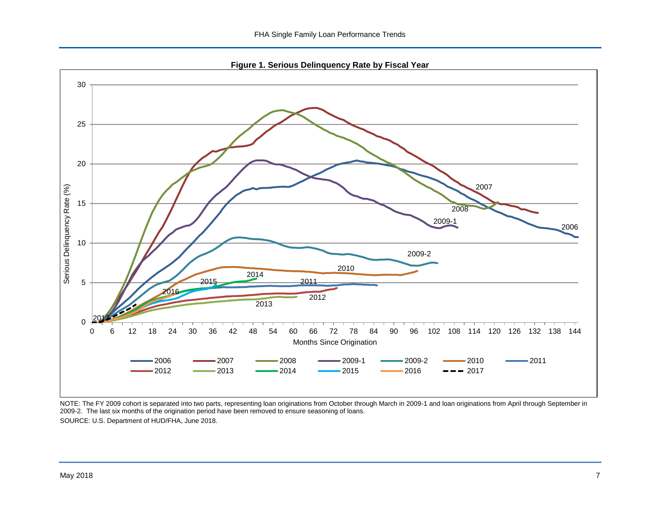**Figure 1. Serious Delinquency Rate by Fiscal Year**

<span id="page-7-0"></span>

NOTE: The FY 2009 cohort is separated into two parts, representing loan originations from October through March in 2009-1 and loan originations from April through September in 2009-2. The last six months of the origination period have been removed to ensure seasoning of loans. SOURCE: U.S. Department of HUD/FHA, June 2018.